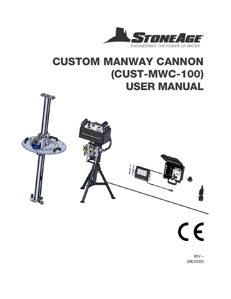

# CUSTOM MANWAY CANNON (CUST-MWC-100) USER MANUAL



REV – (08/2020)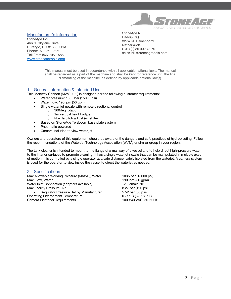

Manufacturer's Information StoneAge Inc. 466 S. Skylane Drive Durango, CO 81303, USA Phone: 970-259-2869

Toll Free: 866-795-1586

www.stoneagetools.com

StoneAge NL Reedijk 7Q 3274 KE Heinenoord **Netherlands** (+31) (0) 85 902 73 70 sales-NL@stoneagetools.com

This manual must be used in accordance with all applicable national laws. The manual shall be regarded as a part of the machine and shall be kept for reference until the final dismantling of the machine, as defined by applicable national law(s).

## 1. General Information & Intended Use

This Manway Cannon (MWC-100) is designed per the following customer requirements:

- Water pressure: 1035 bar (15000 psi)
- Water flow: 190 lpm (50 gpm)
- Single water jet nozzle with remote directional control
	- o 360deg rotation
	- o 1m vertical height adjust
	- o Nozzle pitch adjust (wrist flex)
- **Based on StoneAge Teleboom base plate system**
- Pneumatic powered
- Camera included to view water jet

Owners and operators of this equipment should be aware of the dangers and safe practices of hydroblasting. Follow the recommendations of the WaterJet Technology Association (WJTA) or similar group in your region.

The tank cleaner is intended to mount to the flange of a manway of a vessel and to help direct high-pressure water to the interior surfaces to promote cleaning. It has a single waterjet nozzle that can be manipulated in multiple axes of motion. It is controlled by a single operator at a safe distance, safely isolated from the waterjet. A camera system is used for the operator to view inside the vessel to direct the waterjet as needed.

# 2. Specifications

Max Allowable Working Pressure (MAWP), Water 1035 bar (15000 psi)<br>Max Flow. Water 190 bm (50 apm) Water Inlet Connection (adapters available)  $\frac{1}{2}$  Female NPT Max Facility Pressure, Air  $\frac{1}{2}$  Max Facility Pressure, Air Max Facility Pressure, Air 6.27 bar (120 psi)<br>
• Regulator Pressure Set by Manufacturer 5.52 bar (80 psi) Regulator Pressure Set by Manufacturer 5.52 bar (80 psi)<br>ng Environment Temperature 6.52°C (32-180°F) Operating Environment Temperature 0-82° C (32-180° F)<br>Camera Electrical Requirements 100-240 VAC, 50-60Hz Camera Electrical Requirements

190 lpm (50 gpm)<br> $\frac{1}{2}$ " Female NPT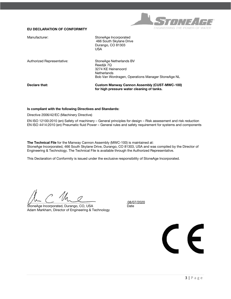

## **EU DECLARATION OF CONFORMITY**

Manufacturer: StoneAge Incorporated 466 South Skylane Drive Durango, CO 81303 USA

Authorized Representative: StoneAge Netherlands BV Reedijk 7Q 3274 KE Heinenoord **Netherlands** Bob Van Wordragen, Operations Manager StoneAge NL

**Declare that: Custom Manway Cannon Assembly (CUST-MWC-100) for high pressure water cleaning of tanks.**

#### **Is compliant with the following Directives and Standards:**

Directive 2006/42/EC (Machinery Directive)

EN ISO 12100:2010 (en) Safety of machinery – General principles for design – Risk assessment and risk reduction EN ISO 4414:2010 (en) Pneumatic fluid Power – General rules and safety requirement for systems and components

**The Technical File** for the Manway Cannon Assembly (MWC-100) is maintained at: StoneAge Incorporated, 466 South Skylane Drive, Durango, CO 81303, USA and was compiled by the Director of Engineering & Technology. The Technical File is available through the Authorized Representative.

This Declaration of Conformity is issued under the exclusive responsibility of StoneAge Incorporated.

StoneAge Incorporated, Durango, CO, USA Adam Markham, Director of Engineering & Technology

08/07/2020<br>Date

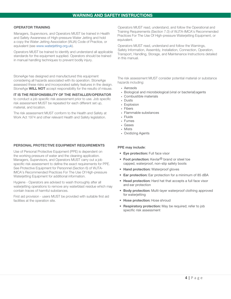# **WARNING AND SAFETY INSTRUCTIONS**

## **OPERATOR TRAINING**

Managers, Supervisors, and Operators MUST be trained in Health and Safety Awareness of High-pressure Water Jetting and hold a copy the Water Jetting Association (WJA) Code of Practice, or equivalent (see www.waterjetting.org.uk).

Operators MUST be trained to identify and understand all applicable standards for the equipment supplied. Operators should be trained in manual handling techniques to prevent bodily injury.

StoneAge has designed and manufactured this equipment considering all hazards associated with its operation. StoneAge assessed these risks and incorporated safety features in the design. StoneAge **WILL NOT** accept responsibility for the results of misuse.

#### **IT IS THE RESPONSIBILITY OF THE INSTALLER/OPERATOR**

to conduct a job specific risk assessment prior to use. Job specific risk assessment MUST be repeated for each different set up, material, and location.

The risk assessment MUST conform to the Health and Safety at Work Act 1974 and other relevant Health and Safety legislation.

## **PERSONAL PROTECTIVE EQUIPMENT REQUIREMENTS**

Use of Personal Protective Equipment (PPE) is dependent on the working pressure of water and the cleaning application. Managers, Supervisors, and Operators MUST carry out a job specific risk assessment to define the exact requirements for PPE. See Protective Equipment for Personnel (Section 6) of WJTA-IMCA's Recommended Practices For The Use Of High-pressure Waterjetting Equipment for additional information.

Hygiene - Operators are advised to wash thoroughly after all waterjetting operations to remove any waterblast residue which may contain traces of harmful substances.

First aid provision - users MUST be provided with suitable first aid facilities at the operation site.

Operators MUST read, understand, and follow the Operational and Training Requirements (Section 7.0) of WJTA-IMCA's Recommended Practices For The Use Of High-pressure Waterjetting Equipment, or equivalent.

Operators MUST read, understand and follow the Warnings, Safety Information, Assembly, Installation, Connection, Operation, Transport, Handling, Storage, and Maintenance Instructions detailed in this manual.

The risk assessment MUST consider potential material or substance hazards including:

- Aerosols
- Biological and microbiological (viral or bacterial)agents
- Combustible materials
- Dusts
- Explosion
- Fibers
- Flammable substances
- Fluids
- Fumes
- Gases • Mists
- 
- Oxidizing Agents

#### **PPE may include**:

- **• Eye protection:** Full face visor
- **• Foot protection:** Kevlar® brand or steel toe capped, waterproof, non-slip safety boots
- **• Hand protection:** Waterproof gloves
- **• Ear protection:** Ear protection for a minimum of 85 dBA
- **• Head protection:** Hard hat that accepts a full face visor and ear protection
- **• Body protection:** Multi-layer waterproof clothing approved for waterjetting
- **• Hose protection:** Hose shroud
- **• Respiratory protection:** May be required; refer to job specific risk assessment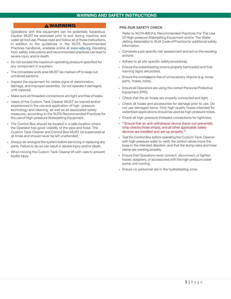# **A WARNING**

Operations with this equipment can be potentially hazardous. Caution MUST be exercised prior to and during machine and water jet tool use. Please read and follow all of these instructions, in addition to the guidelines in the WJTA Recommended Practices handbook, available online at www.wjta.org. Deviating from safety instructions and recommended practices can lead to severe injury and/or death.

- Do not exceed the maximum operating pressure specified for any component in a system.
- The immediate work area MUST be marked off to keep out untrained persons.
- Inspect the equipment for visible signs of deterioration, damage, and improper assembly. Do not operate if damaged, until repaired.
- Make sure all threaded connections are tight and free of leaks.
- Users of the Custom Tank Cleaner MUST be trained and/or experienced in the use and application of high- pressure technology and cleaning, as well as all associated safety measures, according to the WJTA Recommended Practices for the use of High-pressure Waterjetting Equipment.
- The Control Box should be located in a safe location where the Operator has good visibility of the pipe and hose. The Custom Tank Cleaner and Control Box MUST be supervised at all times and should never be left unattended.
- Always de-energize the system before servicing or replacing any parts. Failure to do so can result in severe injury and/or death.
- When moving the Custom Tank Cleaner lift with care to prevent bodily injury.

## **PRE-RUN SAFETY CHECK**

Refer to WJTA-IMCA's, Recommended Practices For The Use Of High-pressure Waterjetting Equipment and/or The Water Jetting Association's, WJA Code of Practice for additional safety information.

- Complete a job specific risk assessment and act on the resulting actions.
- Adhere to all site specific safetyprocedures.
- Ensure the waterblasting zone is properly barricaded and that warning signs are posted.
- Ensure the workplaceis free of unnecessary objects (e.g. loose parts, hoses, tools).
- Ensure all Operators are using the correct Personal Protective Equipment (PPE).
- Check that the air hoses are properly connected and tight.
- Check all hoses and accessories for damage prior to use. Do not use damaged items. Only high-quality hoses intended for waterblast applications should be used as high-pressure hoses.
- Check all high-pressure threaded connections for tightness.
- **•** \*\*Ensure that an anti-withdrawal device (back-out preventer), whip checks (hose whips), and all other applicable safety devices are installed and set-up properly.<sup>\*</sup>
- Test the Control Box before operating the Custom Tank Cleaner with high-pressure water to verify the control valves move the hose in the intended direction, and that the dump valve and hose clamp are working properly.
- Ensure that Operators never connect, disconnect, or tighten hoses, adapters, or accessories with the high-pressure water pump unit running.
- Ensure no personnel are in the hydroblasting zone.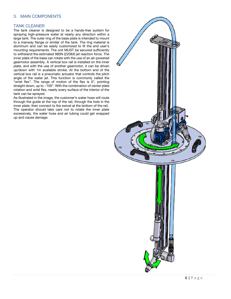# 3. MAIN COMPONENTS

# TANK CLEANER

The tank cleaner is designed to be a hands-free system for spraying high-pressure water at nearly any direction within a large tank. The outer ring of the base plate is intended to mount to a manway flange or similar of the tank. The ring material is aluminum and can be easily customized to fit the end user's mounting requirements. The unit MUST be secured sufficiently to withstand the estimated 980N (220lbf) jet reaction force. The inner plate of the base can rotate with the use of an air-powered gearmotor assembly. A vertical box rail is installed on the inner plate, and with the use of another gearmotor, it can be driven up/down with 1m available stroke. At the bottom end of the vertical box rail is a pneumatic actuator that controls the pitch angle of the water jet. This function is commonly called the "wrist flex". The range of motion of the flex is  $0^\circ$ , pointing straight down, up to ~100°. With the combination of center plate rotation and wrist flex, nearly every surface of the interior of the tank can be sprayed.

As illustrated in the image, the customer's water hose will route through the guide at the top of the rail, through the hole in the inner plate, then connect to the swivel at the bottom of the rail. The operator should take care not to rotate the inner plate excessively, the water hose and air tubing could get wrapped up and cause damage.

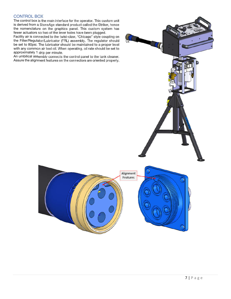# CONTROL BOX

The control box is the main interface for the operator. This custom unit is derived from a StoneAge standard product called the Striker, hence the nomenclature on the graphics panel. This custom system has fewer actuators so two of the lever holes have been plugged.

Facility air is connected to the twist-claw, "Chicago" style coupling on the Filter/Regulator/Lubricator (FRL) assembly. The regulator should be set to 80psi. The lubricator should be maintained to a proper level with any common air tool oil. When operating, oil rate should be set to approximately 1 drip per minute.

An umbilical assembly connects the control panel to the tank cleaner. Assure the alignment features on the connectors are oriented properly.

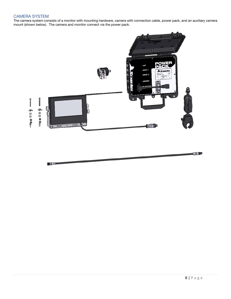# CAMERA SYSTEM

 $\mathbb{C}$  ) )  $\mathbb{H}$ 

The camera system consists of a monitor with mounting hardware, camera with connection cable, power pack, and an auxiliary camera mount (shown below). The camera and monitor connect via the power pack.



**II TE**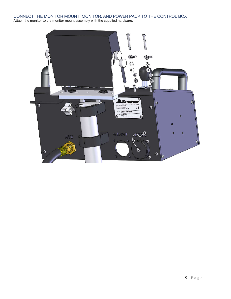CONNECT THE MONITOR MOUNT, MONITOR, AND POWER PACK TO THE CONTROL BOX Attach the monitor to the monitor mount assembly with the supplied hardware.

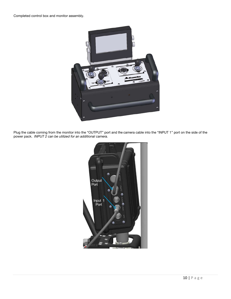Completed control box and monitor assembly.



Plug the cable coming from the monitor into the "OUTPUT" port and the camera cable into the "INPUT 1" port on the side of the power pack. *INPUT 2 can be utilized for an additional camera.*

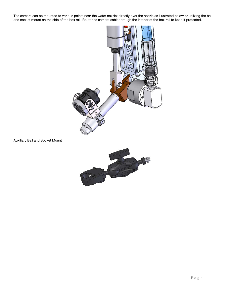The camera can be mounted to various points near the water nozzle; directly over the nozzle as illustrated below or utilizing the ball and socket mount on the side of the box rail. Route the camera cable through the interior of the box rail to keep it protected.

![](_page_10_Picture_1.jpeg)

Auxiliary Ball and Socket Mount

![](_page_10_Picture_3.jpeg)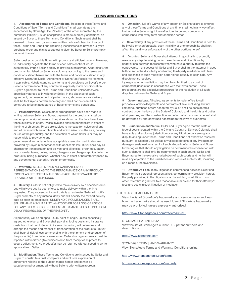## **TERMS AND CONDITIONS**

1. **Acceptance of Terms and Conditions.** Receipt of these Terms and Conditions of Sale ("Terms and Conditions") shall operate as the acceptance by StoneAge, Inc. ("Seller") of the order submitted by the purchaser ("Buyer"). Such acceptance is made expressly conditional on assent by Buyer to these Terms and Conditions. Such assent shall be deemed to have been given unless written notice of objection to any of these Terms and Conditions (including inconsistencies between Buyer's purchase order and this acceptance) is given by Buyer to Seller promptly on receipthereof.

Seller desires to provide Buyer with prompt and efficient service. However, to individually negotiate the terms of each sales contract would substantially impair Seller's ability to provide such service. Accordingly, the product(s) furnished by Seller are sold only according to the terms and conditions stated herein and with the terms and conditions stated in any effective StoneAge Dealer Agreement or StoneAge Reseller Agreement, if applicable. Notwithstanding any terms and conditions on Buyer's order, Seller's performance of any contract is expressly made conditional on Buyer's agreement to these Terms and Conditions unlessotherwise specifically agreed to in writing by Seller. In the absence of such agreement, commencement of performance, shipment and/or delivery shall be for Buyer's convenience only and shall not be deemed or construed to be an acceptance of Buyer's terms and conditions.

2. **Payment/Prices.** Unless other arrangements have been made in writing between Seller and Buyer, payment for the product(s) shall be made upon receipt of invoice. The prices shown on the face hereof are those currently in effect. Prices invoiced shall be per pricelist in effect at the time of shipment. Prices are subject to increase for inclusion of any and all taxes which are applicable and which arise from the sale, delivery or use of the product(s), and the collection of which Seller is or may be responsible to provide to any

governmental authority, unless acceptable exemption certificates are provided by Buyer in accordance with applicable law. Buyer shall pay all charges for transportation and delivery and all excise, order, occupation, use or similar taxes, duties, levies, charges or surcharges applicable to the product(s) being purchased, whether now in effect or hereafter imposed by any governmental authority, foreign or domestic.

3. **Warranty.** SELLER MAKES NO WARRANTIES OR REPRESENTATIONS AS TO THE PERFORMANCE OF ANY PRODUCT EXCEPT AS SET FORTH INTHE STONEAGE LIMITED WARRANTY PROVIDED WITH THEPRODUCT.

4. **Delivery.** Seller is not obligated to make delivery by a specified date, but will always use its best efforts to make delivery within the time requested. The proposed shipment date is an estimate. Seller will notify Buyer promptly of any material delay and will specify the revised delivery date as soon as practicable. UNDER NO CIRCUMSTANCES SHALL SELLER HAVE ANY LIABILITY WHATSOEVER FOR LOSS OF USE OR FOR ANY DIRECT OR CONSEQUENTIAL DAMAGES RESULTING FROM DELAY REGARDLESS OF THE REASON(S).

All product(s) will be shipped F.O.B. point of origin, unless specifically agreed otherwise, and Buyer shall pay all shipping costs and insurance costs from that point. Seller, in its sole discretion, will determine and arrange the means and manner of transportation of the product(s). Buyer shall bear all risk of loss commencing with the shipment or distribution of the product(s) from Seller's warehouse. Order shortages or errors must be reported within fifteen (15) business days from receipt of shipment to secure adjustment. No product(s) may be returned without securing written approval from Seller.

5. **Modification.** These Terms and Conditions are intended by Seller and Buyer to constitute a final, complete and exclusive expression of agreement relating to the subject matter hereof and cannot be supplemented or amended without Seller's prior written approval.

6. **Omission.** Seller's waiver of any breach or Seller's failure to enforce any of these Terms and Conditions at any time, shall not in any way affect, limit or waive Seller's right thereafter to enforce and compel strict compliance with every term and condition hereof.

7. **Severability.** If any provision of these Terms and Conditions is held to be invalid or unenforceable, such invalidity or unenforceability shall not affect the validity or enforceability of the other portions hereof.

8. Disputes. Seller and Buyer shall attempt in good faith to promptly resolve any dispute arising under these Terms and Conditions by negotiations between representatives who have authority to settle the controversy. If unsuccessful, Seller and Buyer shall further attempt in good faith to settle the dispute by nonbinding third-party mediation, with fees and expenses of such mediation apportioned equally to each side. Any dispute not soresolved

by negotiation or mediation may then be submitted to a court of competent jurisdiction in accordance with the terms hereof. These procedures are the exclusive procedures for the resolution of all such disputes between the Seller and Buyer.

9. **Governing Law.** All sales, agreements for sale, offers to sell, proposals, acknowledgments and contracts of sale, including, but not limited to, purchase orders accepted by Seller, shall be considered a contract under the laws of the State of Colorado and the rights and duties of all persons, and the construction and effect of all provisions hereof shall be governed by and construed according to the laws of suchstate.

10. **Jurisdiction and Venue.** Seller and Buyer agree that the state or federal courts located within the City and County of Denver, Colorado shall have sole and exclusive jurisdiction over any litigation concerning any dispute arising under these Terms and Conditions not otherwise resolved pursuant to Section 9 as well as any alleged defects of any Products or damages sustained as a result of such alleged defects. Seller and Buyer further agree that should any litigation be commenced in connection with such a dispute, it shall only be commenced in such courts. Seller and Buyer agree to the exclusive jurisdiction of such courts and neither will raise any objection to the jurisdiction and venue of such courts, including as a result ofinconvenience.

11. **Attorney's Fees.** If any litigation is commenced between Seller and Buyer, or their personal representatives, concerning any provision hereof, the party prevailing in the litigation shall be entitled, in addition to such other relief that is granted, to a reasonable sum as and for their attorneys' fees and costs in such litigation or mediation.

#### STONEAGE TRADEMARK LIST

View the list of StoneAge's trademarks and service marks and learn how the trademarks should be used. Use of StoneAge trademarks may be prohibited, unless expressly authorized.

#### http://www.StoneAgetools.com/trademark-list/

## STONEAGE PATENT DATA

View the list of StoneAge's current U.S. patent numbers and descriptions.

#### http://www.sapatents.com

STONEAGE TERMS AND WARRANTY View StoneAge's Terms and Warranty Conditions online.

#### http://www.stoneagetools.com/terms

### http://www.stoneagetools.com/warranty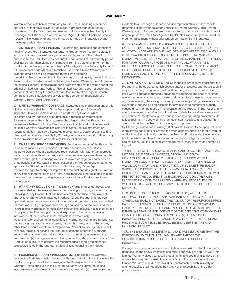## **WARRANTY**

Warranties set forth herein extend only to End-Users, meaning customers acquiring, or that have previously acquired, a product manufactured by StoneAge ("Product") for their own use and not for resale, either directly from StoneAge Inc. ("StoneAge") or from a StoneAge Authorized Dealer or Reseller ("Dealer"). No warranty of any kind or nature is made by StoneAge beyond those expressly stated herein.

1. **LIMITED WARRANTY PERIOD.** Subject to the limitations and conditions hereinafter set forth, StoneAge warrants its Product to be free from defects in workmanship and material for a period of one (1) year from the date of purchase by the End-User, provided that the end of the limited warranty period shall not be later than eighteen (18) months from the date of shipment of the Product to the Dealer or the End-User by StoneAge ("LimitedWarranty Period"). All replacement parts which are furnished under this Limited Warranty and properly installed shall be warranted to the same extentas the original Product under this Limited Warranty if, and only if, the original parts were found to be defective within the original Limited Warranty Period covering the original Product. Replacement parts are warranted for the remainder of the original Limited Warranty Period. This Limited Warranty does not cover any component part of any Product not manufactured by StoneAge. Any such component part is subject exclusively to the component manufacturer's warranty terms and conditions.

2. **LIMITED WARRANTY COVERAGE.** StoneAge's sole obligation under this Limited Warranty shall be, at StoneAge's option and upon StoneAge's inspection, to repair, replace or issue a credit for any Product which is determined by StoneAge to be defective in material or workmanship. StoneAge reserves the right to examine the alleged defective Product to determine whether this Limited Warranty is applicable, and final determination of limited warranty coverage lies solely with StoneAge. No statement or recommendation made by a StoneAge representative, Dealer or agent to End-User shall constitute a warranty by StoneAge or a waiver or modification to any of the provisions hereof or create any liability for StoneAge.

3. **WARRANTY SERVICE PROVIDERS.** Service and repair of the Product is to be performed only by StoneAge authorized service representatives, including Dealers who are authorized repair centers, with StoneAge approved parts. Information about StoneAge authorized service representatives can be obtained through the StoneAge website at www.stoneagetools.com/ service. Unauthorized service, repair or modification of the Product or use of parts not approved by StoneAge will void this Limited Warranty. StoneAge reserves the right to change or improve the material and design of the Product at any time without notice to End-User, and StoneAge is not obligated to make the same improvements during warranty service to any Product previously manufactured.

4. **WARRANTY EXCLUSIONS.** This Limited Warranty does not cover, and StoneAge shall not be responsible for the following, or damage caused by the following: (1) any Product that has been altered or modified in any way not approved by StoneAge in advance in writing; (2) any Product that has been operated under more severe conditions or beyond the rated capacity specified for that Product; (3) depreciation or damage caused by normal wear and tear, failure to follow operation or installation instructions, misuse, negligence or lack of proper protection during storage; (4) exposure to fire, moisture, water intrusion, electrical stress, insects, explosions, extraordinary weather and/or environmental conditions including, but not limited to lightning, natural disasters, storms, windstorms, hail, earthquakes, acts of God or any other force majeure event; (5) damage to any Product caused by any attempt to repair, replace, or service the Product by persons other than StoneAge authorized service representatives; (6) costs of normal maintenance parts and services; (7) damage sustained during unloading, shipment or transit of the Product; or (8) failure to perform the recommended periodic maintenance procedures listed in the Operator's Manual accompanying the Product.

5. **REQUIRED WARRANTY PROCEDURES.** To be eligible for warranty service, the End-User must: (1) report the Product defect to the entity where the Product was purchased (i.e. StoneAge or the Dealer) within the Limited Warranty Period specified in this Limited Warranty; (2) submit the original invoice to establish ownership and date of purchase; and (3) make the Product

available to a StoneAge authorized service representative for inspectionto determine eligibility for coverage under this Limited Warranty. This Limited Warranty shall not extend to any person or entity who fails to provide proof of original purchase from StoneAge or a Dealer. No Product may be returned for credit or adjustment without prior written permission from StoneAge.

6. DISCLAIMER OF IMPLIED WARRANTIES AND OTHER REMEDIES. EXCEPT AS EXPRESSLY STATED HEREIN (AND TO THE FULLEST EXTENT ALLOWED UNDER APPLICABLE LAW), STONEAGE HEREBY DISCLAIMS ALL OTHER WARRANTIES, EXPRESS OR IMPLIED, INCLUDING WITHOUT LIMITATION ALL IMPLIED WARRANTIES OF MERCHANTABILITY OR FITNESS FOR A PARTICULAR PURPOSE, AND ANY AND ALL WARRANTIES, REPRESENTATIONS OR PROMISES AS TO THE QUALITY, PERFORMANCE OR FREEDOM FROM DEFECT OF THE PRODUCT COVERED BY THIS LIMITED WARRANTY. STONEAGE FURTHER DISCLAIMS ALL IMPLIED **INDEMNITIES** 

7. **LIMITATION OF LIABILITY.** End-User specifically acknowledges that the Product may be operated at high speeds and/or pressures, and that as such it may be inherently dangerous if not used correctly. End-User shall familiarize itself with all operation materials provided by StoneAge and shall at all times use and require its agents, employees and contractors to use all necessary and appropriate safety devices, guards and proper safe operating procedures. In no event shall StoneAge be responsible for any injuries to persons or property caused directly or indirectly by the operation of the Product if End- User or any agent, employee, or contractor of End-User: (1) fails to use all necessary and appropriate safety devices, guards and proper safe operating procedures; (2) fails to maintain in good working order such safety devices and guards; (3) alters or modifies the Product in any way not approved

by StoneAge in advance in writing; (4) allows the Product to be operated under more severe conditions or beyond the rated capacity specified for the Product; or (5) otherwise negligently operates the Product. End-User shall indemnify and hold StoneAge harmless from any and all liability or obligation incurred by or against StoneAge, including costs and attorneys' fees, to or by any person so injured.

TO THE FULL EXTENT ALLOWED BY APPLICABLE LAW, STONEAGE SHALL NOT BE LIABLE FOR ANY INDIRECT, SPECIAL, INCIDENTAL, CONSEQUENTIAL, OR PUNITIVE DAMAGES (INCLUDING WITHOUT LIMITATION, LOSS OF PROFITS, LOSS OF GOODWILL, DIMINUTION OF VALUE, WORK STOPPAGE, INTERRUPTION OF BUSINESS, RENTAL OF SUBSTITUTE PRODUCT, OR OTHER COMMERCIAL LOSS EVEN TO THE EXTENT SUCH DAMAGES WOULD CONSTITUTE DIRECT DAMAGES), WITH RESPECT TO THE COVERED STONEAGE PRODUCT, OROTHERWISE IN CONNECTION WITH THIS LIMITED WARRANTY, REGARDLESS OF WHETHER STONEAGE HAS BEEN ADVISED OF THE POSSIBILITY OF SUCH DAMAGES.

IT IS UNDERSTOOD THAT STONEAGE'S LIABILITY, WHETHER IN CONTRACT, IN TORT, UNDER ANY WARRANTY, IN NEGLIGENCE, OR OTHERWISE SHALL NOT EXCEED THE AMOUNT OF THE PURCHASE PRICE PAID BY THE END-USER FOR THE PRODUCT. STONEAGE'S MAXIMUM LIABILITY SHALL NOT EXCEED, AND END-USER'S REMEDY IS LIMITED TO EITHER (1) REPAIR OR REPLACEMENT OF THE DEFECTIVE WORKMANSHIP OR MATERIAL OR, AT STONEAGE'S OPTION, (2) REFUND OF THE PURCHASE PRICE, OR (3) ISSUANCE OF A CREDIT FOR THE PURCHASE PRICE, AND SUCH REMEDIES SHALL BE END-USER'S ENTIRE AND EXCLUSIVE REMEDY.

YOU, THE END-USER, UNDERSTAND AND EXPRESSLY AGREE THAT THE FOREGOING LIMITATIONS ON LIABILITY ARE PART OF THE CONSIDERATION IN THE PRICE OF THE STONEAGE PRODUCT YOU PURCHASED.

Some jurisdictions do not allow the limitation or exclusion of liability for certain damages, so the above limitations and exclusions may not apply to you. This Limited Warranty gives you specific legal rights, and you may also have other rights which vary from jurisdiction to jurisdiction. If any provisions of this Limited Warranty is held to be invalid or unenforceable, such invalidity or unenforceability shall not affect the validity or enforceability of the other portions hereof.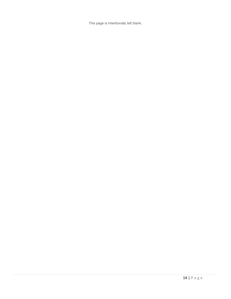This page is intentionally left blank.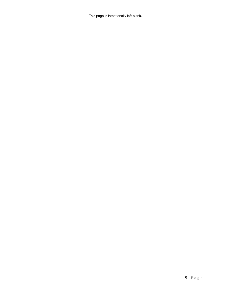This page is intentionally left blank.